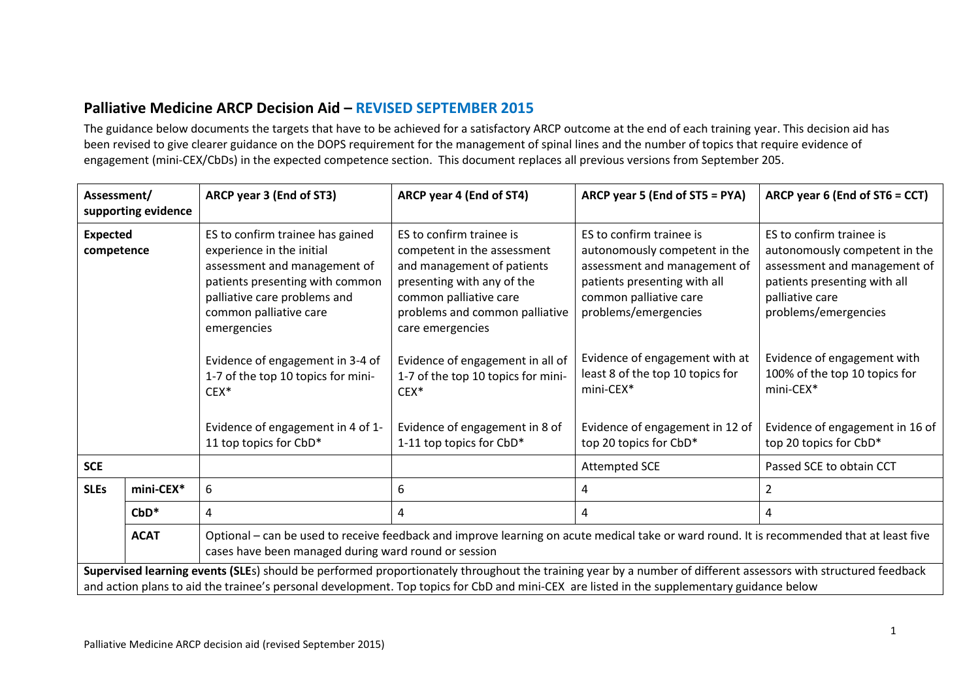# **Palliative Medicine ARCP Decision Aid – REVISED SEPTEMBER 2015**

The guidance below documents the targets that have to be achieved for a satisfactory ARCP outcome at the end of each training year. This decision aid has been revised to give clearer guidance on the DOPS requirement for the management of spinal lines and the number of topics that require evidence of engagement (mini-CEX/CbDs) in the expected competence section. This document replaces all previous versions from September 205.

| Assessment/<br>supporting evidence                                                                                                                                                                                                                                                                           |                                                                                                                                                                                                                  | ARCP year 3 (End of ST3)                                                                                                                                                                                  | ARCP year 4 (End of ST4)                                                                                                                                                                            | ARCP year 5 (End of ST5 = PYA)                                                                                                                                              | ARCP year 6 (End of ST6 = CCT)                                                                                                                                       |  |
|--------------------------------------------------------------------------------------------------------------------------------------------------------------------------------------------------------------------------------------------------------------------------------------------------------------|------------------------------------------------------------------------------------------------------------------------------------------------------------------------------------------------------------------|-----------------------------------------------------------------------------------------------------------------------------------------------------------------------------------------------------------|-----------------------------------------------------------------------------------------------------------------------------------------------------------------------------------------------------|-----------------------------------------------------------------------------------------------------------------------------------------------------------------------------|----------------------------------------------------------------------------------------------------------------------------------------------------------------------|--|
| <b>Expected</b><br>competence                                                                                                                                                                                                                                                                                |                                                                                                                                                                                                                  | ES to confirm trainee has gained<br>experience in the initial<br>assessment and management of<br>patients presenting with common<br>palliative care problems and<br>common palliative care<br>emergencies | ES to confirm trainee is<br>competent in the assessment<br>and management of patients<br>presenting with any of the<br>common palliative care<br>problems and common palliative<br>care emergencies | ES to confirm trainee is<br>autonomously competent in the<br>assessment and management of<br>patients presenting with all<br>common palliative care<br>problems/emergencies | ES to confirm trainee is<br>autonomously competent in the<br>assessment and management of<br>patients presenting with all<br>palliative care<br>problems/emergencies |  |
|                                                                                                                                                                                                                                                                                                              |                                                                                                                                                                                                                  | Evidence of engagement in 3-4 of<br>1-7 of the top 10 topics for mini-<br>$CEX*$                                                                                                                          | Evidence of engagement in all of<br>1-7 of the top 10 topics for mini-<br>CEX <sup>*</sup>                                                                                                          | Evidence of engagement with at<br>least 8 of the top 10 topics for<br>mini-CEX*                                                                                             | Evidence of engagement with<br>100% of the top 10 topics for<br>mini-CEX*                                                                                            |  |
| 11 top topics for CbD*                                                                                                                                                                                                                                                                                       |                                                                                                                                                                                                                  | Evidence of engagement in 4 of 1-                                                                                                                                                                         | Evidence of engagement in 8 of<br>Evidence of engagement in 12 of<br>1-11 top topics for CbD*<br>top 20 topics for CbD*                                                                             |                                                                                                                                                                             | Evidence of engagement in 16 of<br>top 20 topics for CbD*                                                                                                            |  |
| <b>SCE</b>                                                                                                                                                                                                                                                                                                   |                                                                                                                                                                                                                  |                                                                                                                                                                                                           |                                                                                                                                                                                                     | <b>Attempted SCE</b>                                                                                                                                                        | Passed SCE to obtain CCT                                                                                                                                             |  |
| <b>SLEs</b>                                                                                                                                                                                                                                                                                                  | mini-CEX*                                                                                                                                                                                                        | 6                                                                                                                                                                                                         | 6                                                                                                                                                                                                   | 4                                                                                                                                                                           |                                                                                                                                                                      |  |
|                                                                                                                                                                                                                                                                                                              | $CbD*$                                                                                                                                                                                                           | 4                                                                                                                                                                                                         | 4                                                                                                                                                                                                   | 4                                                                                                                                                                           | 4                                                                                                                                                                    |  |
|                                                                                                                                                                                                                                                                                                              | Optional - can be used to receive feedback and improve learning on acute medical take or ward round. It is recommended that at least five<br><b>ACAT</b><br>cases have been managed during ward round or session |                                                                                                                                                                                                           |                                                                                                                                                                                                     |                                                                                                                                                                             |                                                                                                                                                                      |  |
| Supervised learning events (SLEs) should be performed proportionately throughout the training year by a number of different assessors with structured feedback<br>and action plans to aid the trainee's personal development. Top topics for CbD and mini-CEX are listed in the supplementary guidance below |                                                                                                                                                                                                                  |                                                                                                                                                                                                           |                                                                                                                                                                                                     |                                                                                                                                                                             |                                                                                                                                                                      |  |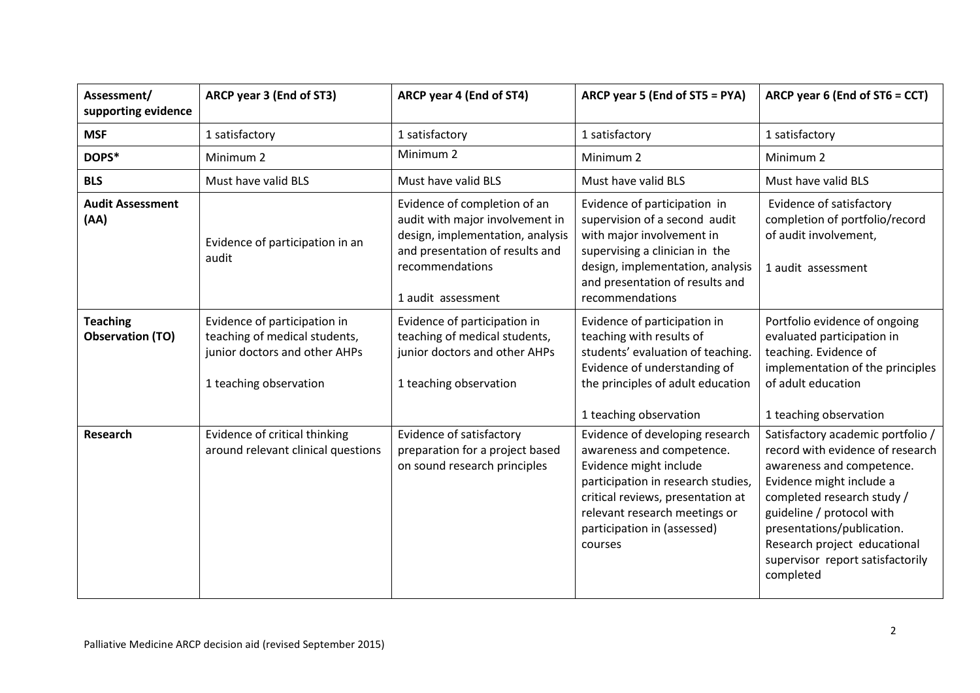| Assessment/<br>supporting evidence         | ARCP year 3 (End of ST3)                                                                                                                                           | ARCP year 4 (End of ST4)                                                                                                                                                        | ARCP year 5 (End of ST5 = PYA)                                                                                                                                                                                                               | ARCP year 6 (End of ST6 = CCT)                                                                                                                                                                                                                                                                           |
|--------------------------------------------|--------------------------------------------------------------------------------------------------------------------------------------------------------------------|---------------------------------------------------------------------------------------------------------------------------------------------------------------------------------|----------------------------------------------------------------------------------------------------------------------------------------------------------------------------------------------------------------------------------------------|----------------------------------------------------------------------------------------------------------------------------------------------------------------------------------------------------------------------------------------------------------------------------------------------------------|
| <b>MSF</b>                                 | 1 satisfactory                                                                                                                                                     | 1 satisfactory                                                                                                                                                                  | 1 satisfactory                                                                                                                                                                                                                               | 1 satisfactory                                                                                                                                                                                                                                                                                           |
| DOPS*                                      | Minimum <sub>2</sub>                                                                                                                                               | Minimum <sub>2</sub>                                                                                                                                                            | Minimum <sub>2</sub>                                                                                                                                                                                                                         | Minimum <sub>2</sub>                                                                                                                                                                                                                                                                                     |
| <b>BLS</b>                                 | Must have valid BLS                                                                                                                                                | Must have valid BLS                                                                                                                                                             | Must have valid BLS                                                                                                                                                                                                                          | Must have valid BLS                                                                                                                                                                                                                                                                                      |
| <b>Audit Assessment</b><br>(AA)            | Evidence of participation in an<br>audit                                                                                                                           | Evidence of completion of an<br>audit with major involvement in<br>design, implementation, analysis<br>and presentation of results and<br>recommendations<br>1 audit assessment | Evidence of participation in<br>supervision of a second audit<br>with major involvement in<br>supervising a clinician in the<br>design, implementation, analysis<br>and presentation of results and<br>recommendations                       | Evidence of satisfactory<br>completion of portfolio/record<br>of audit involvement,<br>1 audit assessment                                                                                                                                                                                                |
| <b>Teaching</b><br><b>Observation (TO)</b> | Evidence of participation in<br>teaching of medical students,<br>junior doctors and other AHPs<br>1 teaching observation                                           | Evidence of participation in<br>teaching of medical students,<br>junior doctors and other AHPs<br>1 teaching observation                                                        | Evidence of participation in<br>teaching with results of<br>students' evaluation of teaching.<br>Evidence of understanding of<br>the principles of adult education<br>1 teaching observation                                                 | Portfolio evidence of ongoing<br>evaluated participation in<br>teaching. Evidence of<br>implementation of the principles<br>of adult education<br>1 teaching observation                                                                                                                                 |
| <b>Research</b>                            | Evidence of critical thinking<br>Evidence of satisfactory<br>around relevant clinical questions<br>preparation for a project based<br>on sound research principles |                                                                                                                                                                                 | Evidence of developing research<br>awareness and competence.<br>Evidence might include<br>participation in research studies,<br>critical reviews, presentation at<br>relevant research meetings or<br>participation in (assessed)<br>courses | Satisfactory academic portfolio /<br>record with evidence of research<br>awareness and competence.<br>Evidence might include a<br>completed research study /<br>guideline / protocol with<br>presentations/publication.<br>Research project educational<br>supervisor report satisfactorily<br>completed |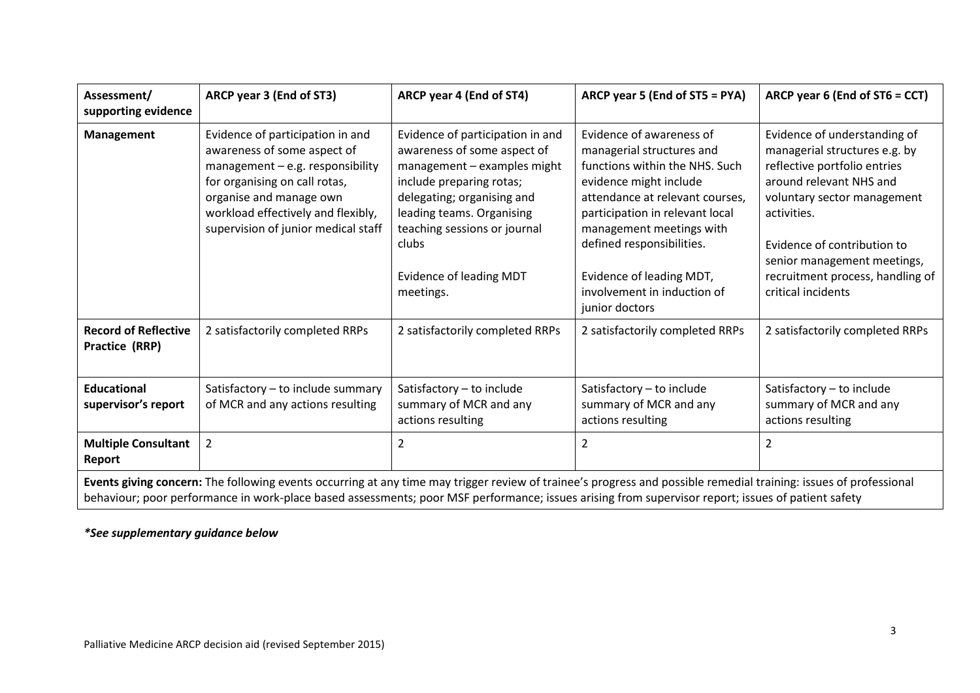| Assessment/<br>supporting evidence                                                                                                                                                                                                                                                                                      | ARCP year 3 (End of ST3)                                                                                                                                                                                                                       | ARCP year 4 (End of ST4)                                                                                                                                                                                                                                               | ARCP year 5 (End of ST5 = PYA)                                                                                                                                                                                                                                                                                                | ARCP year 6 (End of ST6 = CCT)                                                                                                                                                                                                                                                                 |  |  |
|-------------------------------------------------------------------------------------------------------------------------------------------------------------------------------------------------------------------------------------------------------------------------------------------------------------------------|------------------------------------------------------------------------------------------------------------------------------------------------------------------------------------------------------------------------------------------------|------------------------------------------------------------------------------------------------------------------------------------------------------------------------------------------------------------------------------------------------------------------------|-------------------------------------------------------------------------------------------------------------------------------------------------------------------------------------------------------------------------------------------------------------------------------------------------------------------------------|------------------------------------------------------------------------------------------------------------------------------------------------------------------------------------------------------------------------------------------------------------------------------------------------|--|--|
| Management                                                                                                                                                                                                                                                                                                              | Evidence of participation in and<br>awareness of some aspect of<br>management $-$ e.g. responsibility<br>for organising on call rotas,<br>organise and manage own<br>workload effectively and flexibly,<br>supervision of junior medical staff | Evidence of participation in and<br>awareness of some aspect of<br>management - examples might<br>include preparing rotas;<br>delegating; organising and<br>leading teams. Organising<br>teaching sessions or journal<br>clubs<br>Evidence of leading MDT<br>meetings. | Evidence of awareness of<br>managerial structures and<br>functions within the NHS. Such<br>evidence might include<br>attendance at relevant courses,<br>participation in relevant local<br>management meetings with<br>defined responsibilities.<br>Evidence of leading MDT,<br>involvement in induction of<br>junior doctors | Evidence of understanding of<br>managerial structures e.g. by<br>reflective portfolio entries<br>around relevant NHS and<br>voluntary sector management<br>activities.<br>Evidence of contribution to<br>senior management meetings,<br>recruitment process, handling of<br>critical incidents |  |  |
| <b>Record of Reflective</b><br>2 satisfactorily completed RRPs<br>Practice (RRP)                                                                                                                                                                                                                                        |                                                                                                                                                                                                                                                | 2 satisfactorily completed RRPs                                                                                                                                                                                                                                        | 2 satisfactorily completed RRPs                                                                                                                                                                                                                                                                                               | 2 satisfactorily completed RRPs                                                                                                                                                                                                                                                                |  |  |
| <b>Educational</b><br>supervisor's report                                                                                                                                                                                                                                                                               | Satisfactory - to include summary<br>of MCR and any actions resulting                                                                                                                                                                          | Satisfactory - to include<br>summary of MCR and any<br>actions resulting                                                                                                                                                                                               | Satisfactory - to include<br>summary of MCR and any<br>actions resulting                                                                                                                                                                                                                                                      | Satisfactory - to include<br>summary of MCR and any<br>actions resulting                                                                                                                                                                                                                       |  |  |
| <b>Multiple Consultant</b><br>Report                                                                                                                                                                                                                                                                                    | $\overline{2}$                                                                                                                                                                                                                                 | 2                                                                                                                                                                                                                                                                      | $\overline{2}$                                                                                                                                                                                                                                                                                                                | 2                                                                                                                                                                                                                                                                                              |  |  |
| Events giving concern: The following events occurring at any time may trigger review of trainee's progress and possible remedial training: issues of professional<br>behaviour; poor performance in work-place based assessments; poor MSF performance; issues arising from supervisor report; issues of patient safety |                                                                                                                                                                                                                                                |                                                                                                                                                                                                                                                                        |                                                                                                                                                                                                                                                                                                                               |                                                                                                                                                                                                                                                                                                |  |  |

### *\*See supplementary guidance below*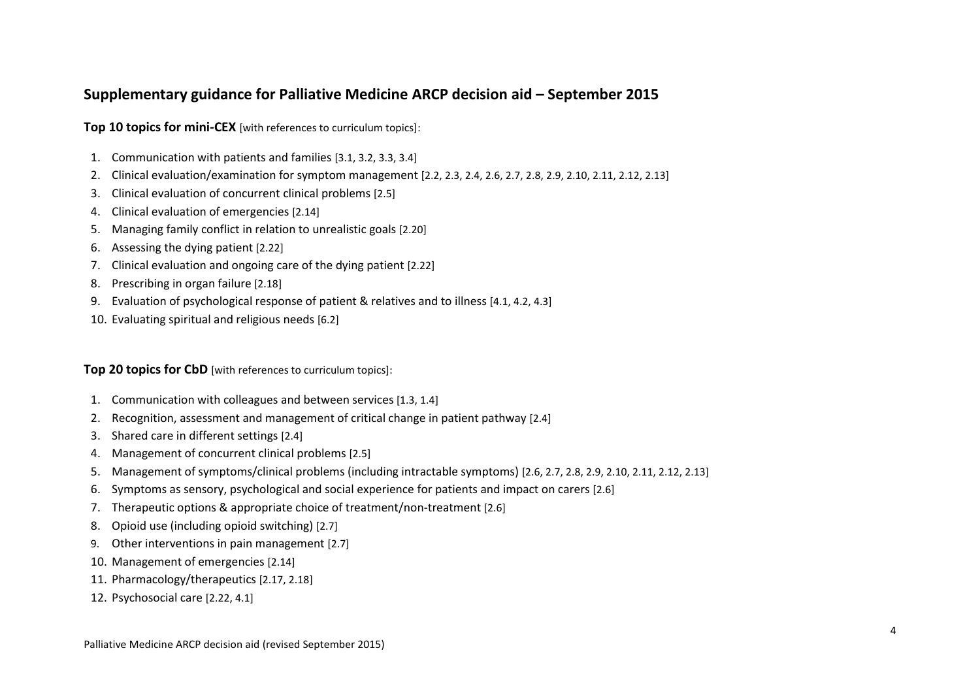## **Supplementary guidance for Palliative Medicine ARCP decision aid – September 2015**

**Top 10 topics for mini-CEX** [with references to curriculum topics]:

- 1. Communication with patients and families [3.1, 3.2, 3.3, 3.4]
- 2. Clinical evaluation/examination for symptom management [2.2, 2.3, 2.4, 2.6, 2.7, 2.8, 2.9, 2.10, 2.11, 2.12, 2.13]
- 3. Clinical evaluation of concurrent clinical problems [2.5]
- 4. Clinical evaluation of emergencies [2.14]
- 5. Managing family conflict in relation to unrealistic goals [2.20]
- 6. Assessing the dying patient [2.22]
- 7. Clinical evaluation and ongoing care of the dying patient [2.22]
- 8. Prescribing in organ failure [2.18]
- 9. Evaluation of psychological response of patient & relatives and to illness [4.1, 4.2, 4.3]
- 10. Evaluating spiritual and religious needs [6.2]

#### **Top 20 topics for CbD** [with references to curriculum topics]:

- 1. Communication with colleagues and between services [1.3, 1.4]
- 2. Recognition, assessment and management of critical change in patient pathway [2.4]
- 3. Shared care in different settings [2.4]
- 4. Management of concurrent clinical problems [2.5]
- 5. Management of symptoms/clinical problems (including intractable symptoms) [2.6, 2.7, 2.8, 2.9, 2.10, 2.11, 2.12, 2.13]
- 6. Symptoms as sensory, psychological and social experience for patients and impact on carers [2.6]
- 7. Therapeutic options & appropriate choice of treatment/non-treatment [2.6]
- 8. Opioid use (including opioid switching) [2.7]
- 9. Other interventions in pain management [2.7]
- 10. Management of emergencies [2.14]
- 11. Pharmacology/therapeutics [2.17, 2.18]
- 12. Psychosocial care [2.22, 4.1]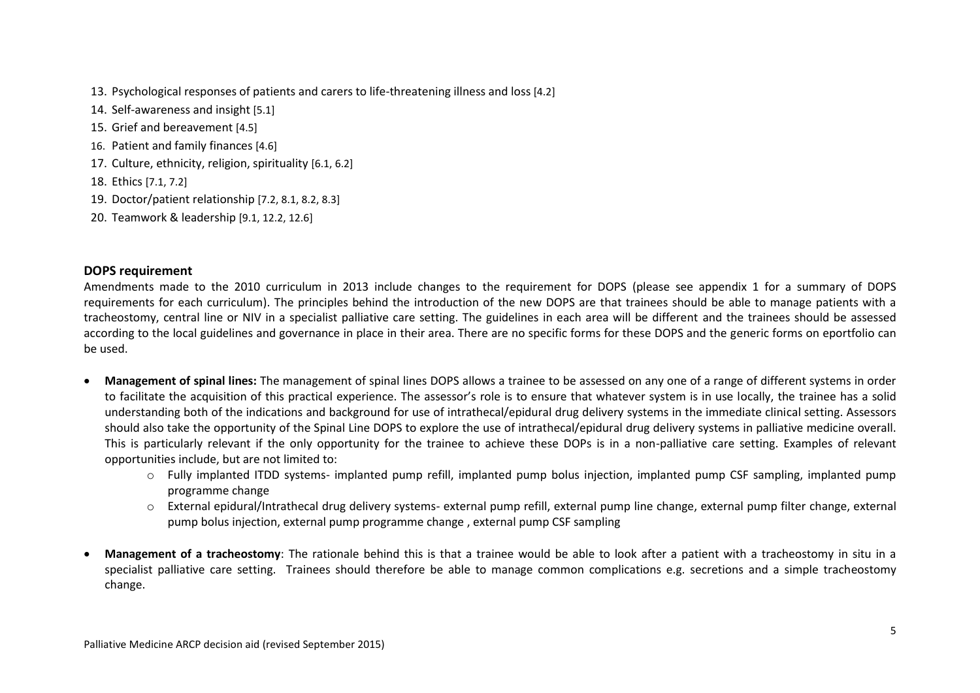- 13. Psychological responses of patients and carers to life-threatening illness and loss [4.2]
- 14. Self-awareness and insight [5.1]
- 15. Grief and bereavement [4.5]
- 16. Patient and family finances [4.6]
- 17. Culture, ethnicity, religion, spirituality [6.1, 6.2]
- 18. Ethics [7.1, 7.2]
- 19. Doctor/patient relationship [7.2, 8.1, 8.2, 8.3]
- 20. Teamwork & leadership [9.1, 12.2, 12.6]

#### **DOPS requirement**

Amendments made to the 2010 curriculum in 2013 include changes to the requirement for DOPS (please see appendix 1 for a summary of DOPS requirements for each curriculum). The principles behind the introduction of the new DOPS are that trainees should be able to manage patients with a tracheostomy, central line or NIV in a specialist palliative care setting. The guidelines in each area will be different and the trainees should be assessed according to the local guidelines and governance in place in their area. There are no specific forms for these DOPS and the generic forms on eportfolio can be used.

- **Management of spinal lines:** The management of spinal lines DOPS allows a trainee to be assessed on any one of a range of different systems in order to facilitate the acquisition of this practical experience. The assessor's role is to ensure that whatever system is in use locally, the trainee has a solid understanding both of the indications and background for use of intrathecal/epidural drug delivery systems in the immediate clinical setting. Assessors should also take the opportunity of the Spinal Line DOPS to explore the use of intrathecal/epidural drug delivery systems in palliative medicine overall. This is particularly relevant if the only opportunity for the trainee to achieve these DOPs is in a non-palliative care setting. Examples of relevant opportunities include, but are not limited to:
	- o Fully implanted ITDD systems- implanted pump refill, implanted pump bolus injection, implanted pump CSF sampling, implanted pump programme change
	- o External epidural/Intrathecal drug delivery systems- external pump refill, external pump line change, external pump filter change, external pump bolus injection, external pump programme change , external pump CSF sampling
- **Management of a tracheostomy**: The rationale behind this is that a trainee would be able to look after a patient with a tracheostomy in situ in a specialist palliative care setting. Trainees should therefore be able to manage common complications e.g. secretions and a simple tracheostomy change.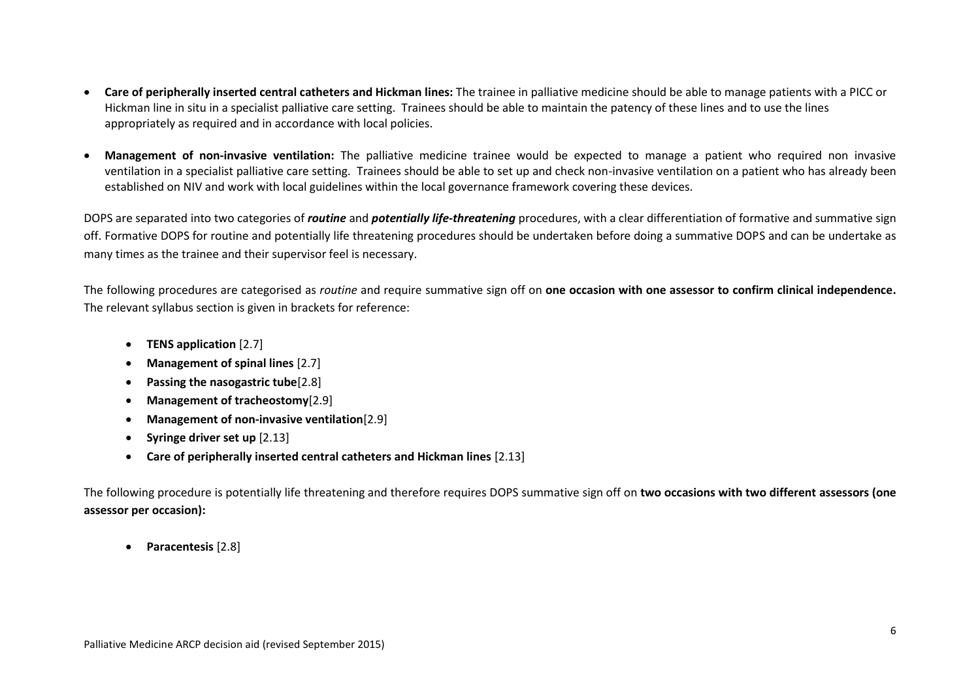- **Care of peripherally inserted central catheters and Hickman lines:** The trainee in palliative medicine should be able to manage patients with a PICC or Hickman line in situ in a specialist palliative care setting. Trainees should be able to maintain the patency of these lines and to use the lines appropriately as required and in accordance with local policies.
- **Management of non-invasive ventilation:** The palliative medicine trainee would be expected to manage a patient who required non invasive ventilation in a specialist palliative care setting. Trainees should be able to set up and check non-invasive ventilation on a patient who has already been established on NIV and work with local guidelines within the local governance framework covering these devices.

DOPS are separated into two categories of *routine* and *potentially life-threatening* procedures, with a clear differentiation of formative and summative sign off. Formative DOPS for routine and potentially life threatening procedures should be undertaken before doing a summative DOPS and can be undertake as many times as the trainee and their supervisor feel is necessary.

The following procedures are categorised as *routine* and require summative sign off on **one occasion with one assessor to confirm clinical independence.**  The relevant syllabus section is given in brackets for reference:

- **TENS application** [2.7]
- **Management of spinal lines** [2.7]
- **Passing the nasogastric tube**[2.8]
- **Management of tracheostomy**[2.9]
- **Management of non-invasive ventilation**[2.9]
- **•** Syringe driver set up [2.13]
- **Care of peripherally inserted central catheters and Hickman lines** [2.13]

The following procedure is potentially life threatening and therefore requires DOPS summative sign off on **two occasions with two different assessors (one assessor per occasion):**

**Paracentesis** [2.8]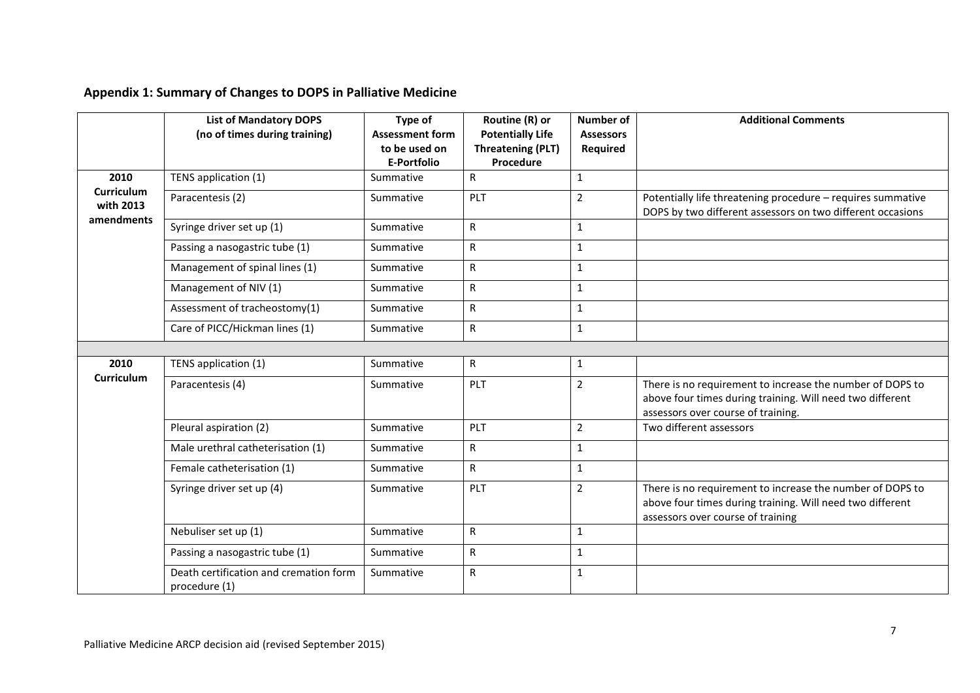# **Appendix 1: Summary of Changes to DOPS in Palliative Medicine**

|                                       | <b>List of Mandatory DOPS</b><br>(no of times during training) | Type of<br><b>Assessment form</b><br>to be used on<br><b>E-Portfolio</b> | Routine (R) or<br><b>Potentially Life</b><br><b>Threatening (PLT)</b><br>Procedure | <b>Number of</b><br><b>Assessors</b><br>Required | <b>Additional Comments</b>                                                                                                                                   |
|---------------------------------------|----------------------------------------------------------------|--------------------------------------------------------------------------|------------------------------------------------------------------------------------|--------------------------------------------------|--------------------------------------------------------------------------------------------------------------------------------------------------------------|
| 2010                                  | TENS application (1)                                           | Summative                                                                | $\mathsf{R}$                                                                       | $\mathbf{1}$                                     |                                                                                                                                                              |
| Curriculum<br>with 2013<br>amendments | Paracentesis (2)                                               | Summative                                                                | PLT                                                                                | $\overline{2}$                                   | Potentially life threatening procedure - requires summative<br>DOPS by two different assessors on two different occasions                                    |
|                                       | Syringe driver set up (1)                                      | Summative                                                                | $\mathsf{R}$                                                                       | $\mathbf{1}$                                     |                                                                                                                                                              |
|                                       | Passing a nasogastric tube (1)                                 | Summative                                                                | R                                                                                  | $\mathbf{1}$                                     |                                                                                                                                                              |
|                                       | Management of spinal lines (1)                                 | Summative                                                                | R                                                                                  | $\mathbf{1}$                                     |                                                                                                                                                              |
|                                       | Management of NIV (1)                                          | Summative                                                                | $\mathsf{R}$                                                                       | $\mathbf{1}$                                     |                                                                                                                                                              |
|                                       | Assessment of tracheostomy(1)                                  | Summative                                                                | R                                                                                  | $\mathbf{1}$                                     |                                                                                                                                                              |
|                                       | Care of PICC/Hickman lines (1)                                 | Summative                                                                | $\mathsf{R}$                                                                       | $\mathbf{1}$                                     |                                                                                                                                                              |
|                                       |                                                                |                                                                          |                                                                                    |                                                  |                                                                                                                                                              |
| 2010                                  | TENS application (1)                                           | Summative                                                                | $\mathsf{R}$                                                                       | $\mathbf{1}$                                     |                                                                                                                                                              |
| <b>Curriculum</b>                     | Paracentesis (4)                                               | Summative                                                                | PLT                                                                                | $\overline{2}$                                   | There is no requirement to increase the number of DOPS to<br>above four times during training. Will need two different<br>assessors over course of training. |
|                                       | Pleural aspiration (2)                                         | Summative                                                                | PLT                                                                                | $\overline{2}$                                   | Two different assessors                                                                                                                                      |
|                                       | Male urethral catheterisation (1)                              | Summative                                                                | R                                                                                  | $\mathbf{1}$                                     |                                                                                                                                                              |
|                                       | Female catheterisation (1)                                     | Summative                                                                | $\mathsf{R}$                                                                       | $\mathbf{1}$                                     |                                                                                                                                                              |
|                                       | Syringe driver set up (4)                                      | Summative                                                                | PLT                                                                                | $\overline{2}$                                   | There is no requirement to increase the number of DOPS to<br>above four times during training. Will need two different<br>assessors over course of training  |
|                                       | Nebuliser set up (1)                                           | Summative                                                                | $\mathsf{R}$                                                                       | $\mathbf{1}$                                     |                                                                                                                                                              |
|                                       | Passing a nasogastric tube (1)                                 | Summative                                                                | R                                                                                  | $\mathbf{1}$                                     |                                                                                                                                                              |
|                                       | Death certification and cremation form<br>procedure (1)        | Summative                                                                | R                                                                                  | $\mathbf{1}$                                     |                                                                                                                                                              |